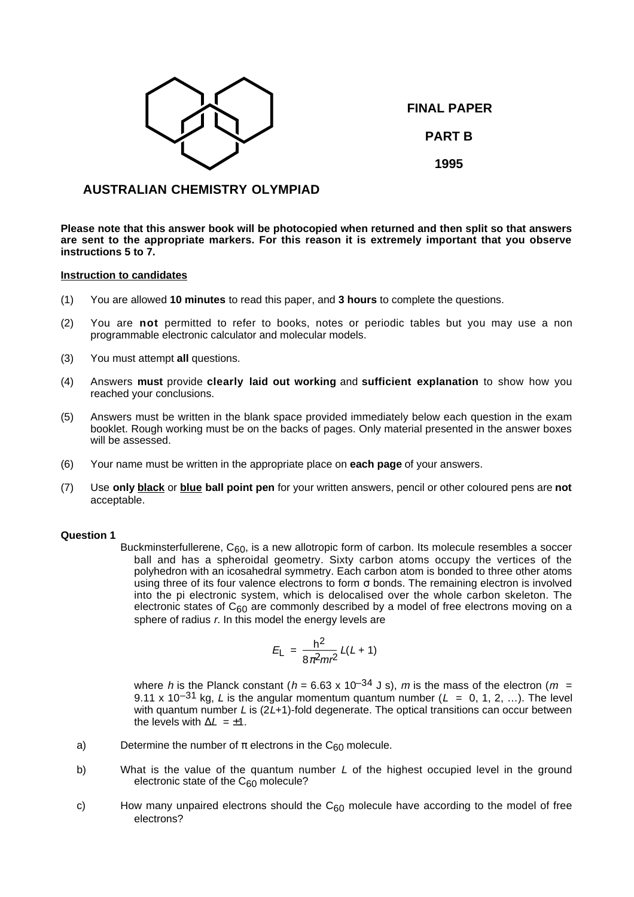

**FINAL PAPER PART B**

**1995**

# **AUSTRALIAN CHEMISTRY OLYMPIAD**

**Please note that this answer book will be photocopied when returned and then split so that answers are sent to the appropriate markers. For this reason it is extremely important that you observe instructions 5 to 7.**

### **Instruction to candidates**

- (1) You are allowed **10 minutes** to read this paper, and **3 hours** to complete the questions.
- (2) You are **not** permitted to refer to books, notes or periodic tables but you may use a non programmable electronic calculator and molecular models.
- (3) You must attempt **all** questions.
- (4) Answers **must** provide **clearly laid out working** and **sufficient explanation** to show how you reached your conclusions.
- (5) Answers must be written in the blank space provided immediately below each question in the exam booklet. Rough working must be on the backs of pages. Only material presented in the answer boxes will be assessed.
- (6) Your name must be written in the appropriate place on **each page** of your answers.
- (7) Use **only black** or **blue ball point pen** for your written answers, pencil or other coloured pens are **not** acceptable.

### **Question 1**

Buckminsterfullerene,  $C_{60}$ , is a new allotropic form of carbon. Its molecule resembles a soccer ball and has a spheroidal geometry. Sixty carbon atoms occupy the vertices of the polyhedron with an icosahedral symmetry. Each carbon atom is bonded to three other atoms using three of its four valence electrons to form σ bonds. The remaining electron is involved into the pi electronic system, which is delocalised over the whole carbon skeleton. The electronic states of  $C_{60}$  are commonly described by a model of free electrons moving on a sphere of radius r. In this model the energy levels are

$$
E_{\rm L} = \frac{h^2}{8\pi^2 m r^2} L(L+1)
$$

where h is the Planck constant (h = 6.63 x 10<sup>-34</sup> J s), m is the mass of the electron (m = 9.11 x 10<sup>-31</sup> kg, L is the angular momentum quantum number (L = 0, 1, 2, ...). The level with quantum number  $L$  is ( $2L+1$ )-fold degenerate. The optical transitions can occur between the levels with  $\Delta L = +1$ .

- a) Determine the number of  $\pi$  electrons in the C<sub>60</sub> molecule.
- b) What is the value of the quantum number  $L$  of the highest occupied level in the ground electronic state of the  $C_{60}$  molecule?
- c) How many unpaired electrons should the  $C_{60}$  molecule have according to the model of free electrons?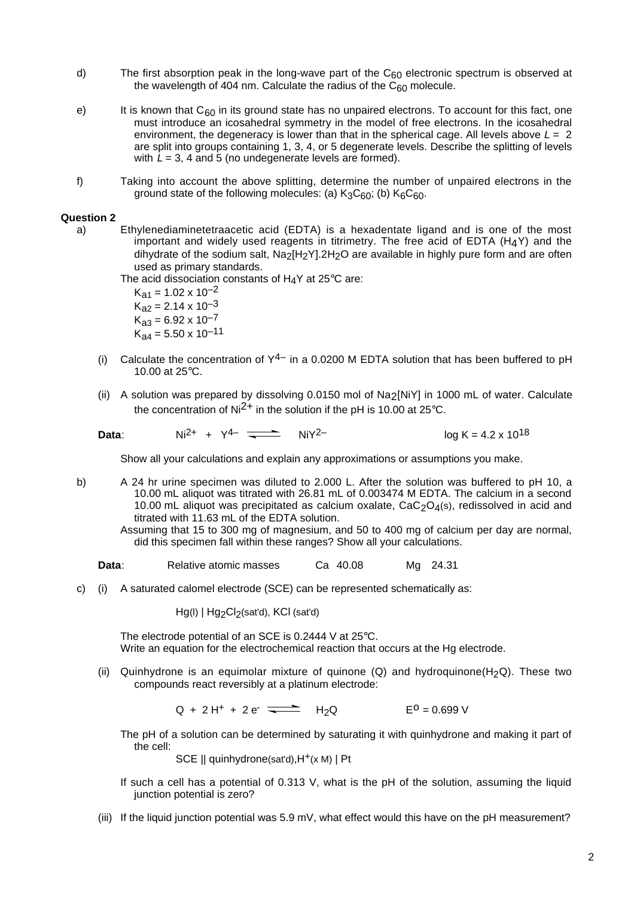- d) The first absorption peak in the long-wave part of the  $C_{60}$  electronic spectrum is observed at the wavelength of 404 nm. Calculate the radius of the  $C_{60}$  molecule.
- e) It is known that  $C_{60}$  in its ground state has no unpaired electrons. To account for this fact, one must introduce an icosahedral symmetry in the model of free electrons. In the icosahedral environment, the degeneracy is lower than that in the spherical cage. All levels above  $L = 2$ are split into groups containing 1, 3, 4, or 5 degenerate levels. Describe the splitting of levels with  $L = 3$ , 4 and 5 (no undegenerate levels are formed).
- f) Taking into account the above splitting, determine the number of unpaired electrons in the ground state of the following molecules: (a)  $K_3C_{60}$ ; (b)  $K_6C_{60}$ .

# **Question 2**

a) Ethylenediaminetetraacetic acid (EDTA) is a hexadentate ligand and is one of the most important and widely used reagents in titrimetry. The free acid of EDTA  $(H_4Y)$  and the dihydrate of the sodium salt,  $Na<sub>2</sub>H<sub>2</sub>Y1.2H<sub>2</sub>O$  are available in highly pure form and are often used as primary standards.

The acid dissociation constants of  $H_4$ Y at 25°C are:

 $K_{a1} = 1.02 \times 10^{-2}$  $K_{a2} = 2.14 \times 10^{-3}$  $K_{a3} = 6.92 \times 10^{-7}$  $K_{24} = 5.50 \times 10^{-11}$ 

- (i) Calculate the concentration of  $Y^{4-}$  in a 0.0200 M EDTA solution that has been buffered to pH 10.00 at 25°C.
- (ii) A solution was prepared by dissolving 0.0150 mol of Na2[NiY] in 1000 mL of water. Calculate the concentration of  $Ni^{2+}$  in the solution if the pH is 10.00 at 25°C.

**Data**:  $Ni^{2+} + Y^{4-} \implies NiY^{2-}$   $NoR = 4.2 \times 10^{18}$ 

Show all your calculations and explain any approximations or assumptions you make.

b) A 24 hr urine specimen was diluted to 2.000 L. After the solution was buffered to pH 10, a 10.00 mL aliquot was titrated with 26.81 mL of 0.003474 M EDTA. The calcium in a second 10.00 mL aliquot was precipitated as calcium oxalate,  $CaC<sub>2</sub>O<sub>4</sub>(s)$ , redissolved in acid and titrated with 11.63 mL of the EDTA solution.

Assuming that 15 to 300 mg of magnesium, and 50 to 400 mg of calcium per day are normal, did this specimen fall within these ranges? Show all your calculations.

- **Data:** Relative atomic masses Ca 40.08 Mg 24.31
- c) (i) A saturated calomel electrode (SCE) can be represented schematically as:

Hg(l) | Hg<sub>2</sub>Cl<sub>2</sub>(sat'd), KCl (sat'd)

The electrode potential of an SCE is 0.2444 V at 25°C. Write an equation for the electrochemical reaction that occurs at the Hg electrode.

(ii) Quinhydrone is an equimolar mixture of quinone  $(Q)$  and hydroquinone $(H_2Q)$ . These two compounds react reversibly at a platinum electrode:

 $Q + 2 H^{+} + 2 e^{-}$   $H_2 Q$   $E^0 = 0.699 V$ 

The pH of a solution can be determined by saturating it with quinhydrone and making it part of the cell:

SCE || quinhydrone(sat'd), H<sup>+</sup>(x M) | Pt

- If such a cell has a potential of 0.313 V, what is the pH of the solution, assuming the liquid junction potential is zero?
- (iii) If the liquid junction potential was 5.9 mV, what effect would this have on the pH measurement?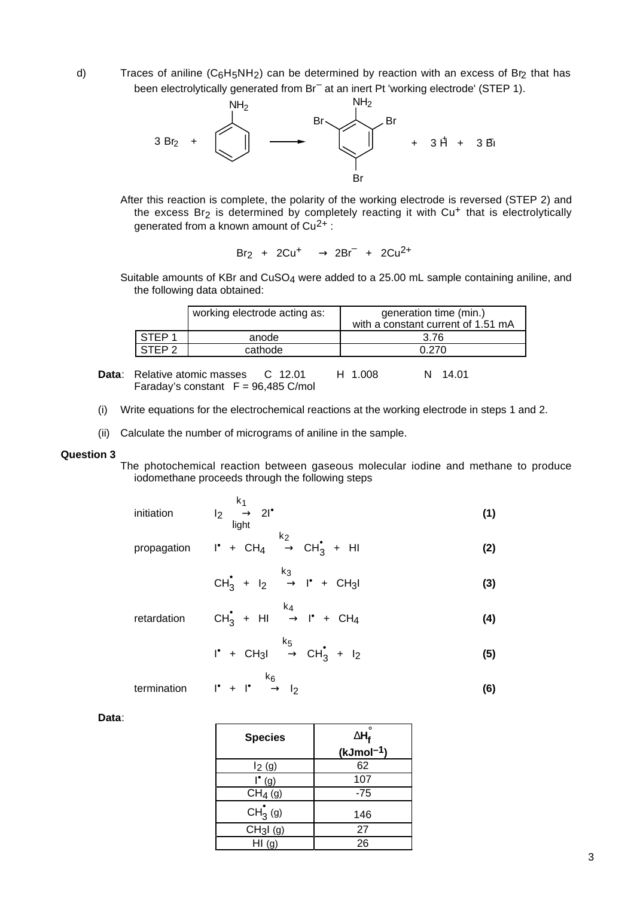d) Traces of aniline  $(C_6H_5NH_2)$  can be determined by reaction with an excess of Br<sub>2</sub> that has been electrolytically generated from Br<sup>-</sup> at an inert Pt 'working electrode' (STEP 1).



After this reaction is complete, the polarity of the working electrode is reversed (STEP 2) and the excess  $Br_2$  is determined by completely reacting it with  $Cu<sup>+</sup>$  that is electrolytically generated from a known amount of  $Cu^{2+}$ :

 $Br_2$  +  $2Cu^+$   $\longrightarrow$   $2Br^-$  +  $2Cu^{2+}$ 

Suitable amounts of KBr and  $CuSO<sub>4</sub>$  were added to a 25.00 mL sample containing aniline, and the following data obtained:

|                   | working electrode acting as: | generation time (min.)<br>with a constant current of 1.51 mA |
|-------------------|------------------------------|--------------------------------------------------------------|
| STEP <sub>1</sub> | anode                        | 3.76                                                         |
| $\overline{C}$    | cathode                      | በ 27ር                                                        |

- **Data:** Relative atomic masses C 12.01 H 1.008 N 14.01 Faraday's constant  $F = 96,485$  C/mol
- (i) Write equations for the electrochemical reactions at the working electrode in steps 1 and 2.
- (ii) Calculate the number of micrograms of aniline in the sample.

#### **Question 3**

The photochemical reaction between gaseous molecular iodine and methane to produce iodomethane proceeds through the following steps

initialation

\n
$$
I_2 \xrightarrow[light]{} 2!^{\bullet}
$$
\n(1)

propagation  $I^{\bullet}$  + CH<sub>4</sub>

 $x_2 \rightarrow CH_3^* + H$  (2)

$$
CH_3^{\bullet} + I_2 \stackrel{k_3}{\longrightarrow} I^{\bullet} + CH_3I
$$
 (3)

retardation  $CH_3^{\bullet}$  + HI k4  $\longrightarrow$  **I**<sup> $\bullet$ </sup> + CH<sub>4</sub> (4)

$$
I^{\bullet} + CH_3I \xrightarrow{k_5} CH_3^{\bullet} + I_2
$$
 (5)

$$
\begin{array}{ccc}\n & k_6 \\
\text{termination} & l^* + l^* & \longrightarrow l_2\n\end{array}
$$
\n(6)

**Data**:

| <b>Species</b>                   | $\Delta H_{\rm f}^{\circ}$ |
|----------------------------------|----------------------------|
|                                  | (kJmol <sup>-1</sup> )     |
| $I_2(g)$                         | 62                         |
| $^{\bullet}$ (g)                 | 107                        |
| CH <sub>4</sub> (g)              | $-75$                      |
| $CH_3^{\bullet}$ (g)             | 146                        |
| CH <sub>3</sub> I <sub>(g)</sub> | 27                         |
| H1(g)                            | 26                         |

3